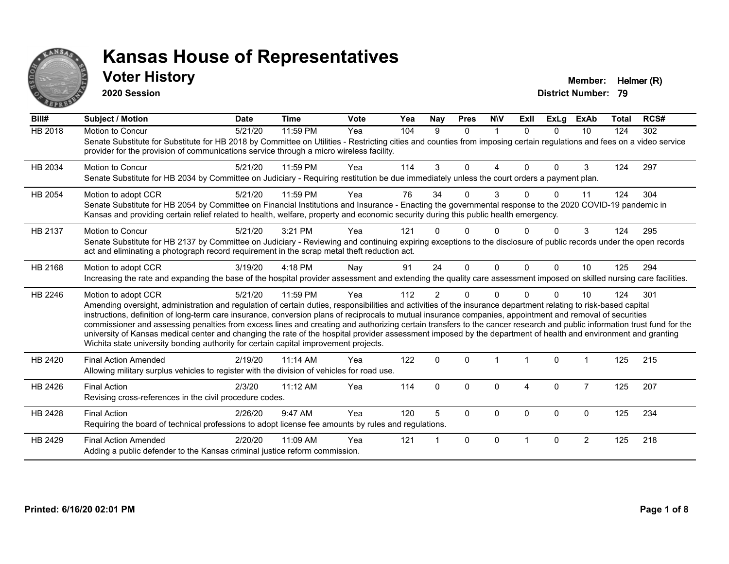

#### **Voter History Member: Helmer (R)**

**2020 Session**

| Bill#   | <b>Subject / Motion</b>                                                                                                                                                                                                                                                                                                                                                                                                                                                                                                                                                                                                                                                                                                                                                                  | <b>Date</b> | <b>Time</b> | <b>Vote</b> | Yea | <b>Nay</b>     | <b>Pres</b>  | <b>NIV</b> | Exll     | <b>ExLg</b>  | ExAb           | <b>Total</b> | RCS# |
|---------|------------------------------------------------------------------------------------------------------------------------------------------------------------------------------------------------------------------------------------------------------------------------------------------------------------------------------------------------------------------------------------------------------------------------------------------------------------------------------------------------------------------------------------------------------------------------------------------------------------------------------------------------------------------------------------------------------------------------------------------------------------------------------------------|-------------|-------------|-------------|-----|----------------|--------------|------------|----------|--------------|----------------|--------------|------|
| HB 2018 | Motion to Concur<br>Senate Substitute for Substitute for HB 2018 by Committee on Utilities - Restricting cities and counties from imposing certain regulations and fees on a video service<br>provider for the provision of communications service through a micro wireless facility.                                                                                                                                                                                                                                                                                                                                                                                                                                                                                                    | 5/21/20     | 11:59 PM    | Yea         | 104 | 9              | $\Omega$     | 1          | $\Omega$ | $\Omega$     | 10             | 124          | 302  |
| HB 2034 | <b>Motion to Concur</b><br>Senate Substitute for HB 2034 by Committee on Judiciary - Requiring restitution be due immediately unless the court orders a payment plan.                                                                                                                                                                                                                                                                                                                                                                                                                                                                                                                                                                                                                    | 5/21/20     | 11:59 PM    | Yea         | 114 | 3              | $\Omega$     | Δ          | $\Omega$ | $\Omega$     | 3              | 124          | 297  |
| HB 2054 | Motion to adopt CCR<br>Senate Substitute for HB 2054 by Committee on Financial Institutions and Insurance - Enacting the governmental response to the 2020 COVID-19 pandemic in<br>Kansas and providing certain relief related to health, welfare, property and economic security during this public health emergency.                                                                                                                                                                                                                                                                                                                                                                                                                                                                   | 5/21/20     | 11:59 PM    | Yea         | 76  | 34             | $\Omega$     | 3          |          | U            | 11             | 124          | 304  |
| HB 2137 | Motion to Concur<br>Senate Substitute for HB 2137 by Committee on Judiciary - Reviewing and continuing expiring exceptions to the disclosure of public records under the open records<br>act and eliminating a photograph record requirement in the scrap metal theft reduction act.                                                                                                                                                                                                                                                                                                                                                                                                                                                                                                     | 5/21/20     | 3:21 PM     | Yea         | 121 |                | ŋ            |            |          |              | 3              | 124          | 295  |
| HB 2168 | Motion to adopt CCR<br>Increasing the rate and expanding the base of the hospital provider assessment and extending the quality care assessment imposed on skilled nursing care facilities.                                                                                                                                                                                                                                                                                                                                                                                                                                                                                                                                                                                              | 3/19/20     | $4:18$ PM   | Nay         | 91  | 24             | $\Omega$     | $\Omega$   | $\Omega$ | $\Omega$     | 10             | 125          | 294  |
| HB 2246 | Motion to adopt CCR<br>Amending oversight, administration and regulation of certain duties, responsibilities and activities of the insurance department relating to risk-based capital<br>instructions, definition of long-term care insurance, conversion plans of reciprocals to mutual insurance companies, appointment and removal of securities<br>commissioner and assessing penalties from excess lines and creating and authorizing certain transfers to the cancer research and public information trust fund for the<br>university of Kansas medical center and changing the rate of the hospital provider assessment imposed by the department of health and environment and granting<br>Wichita state university bonding authority for certain capital improvement projects. | 5/21/20     | 11:59 PM    | Yea         | 112 | $\overline{2}$ | $\Omega$     | $\Omega$   |          | $\Omega$     | 10             | 124          | 301  |
| HB 2420 | <b>Final Action Amended</b><br>Allowing military surplus vehicles to register with the division of vehicles for road use.                                                                                                                                                                                                                                                                                                                                                                                                                                                                                                                                                                                                                                                                | 2/19/20     | $11:14$ AM  | Yea         | 122 | $\mathbf{0}$   | $\Omega$     |            |          | $\Omega$     |                | 125          | 215  |
| HB 2426 | <b>Final Action</b><br>Revising cross-references in the civil procedure codes.                                                                                                                                                                                                                                                                                                                                                                                                                                                                                                                                                                                                                                                                                                           | 2/3/20      | 11:12 AM    | Yea         | 114 | $\Omega$       | $\Omega$     | $\Omega$   | 4        | $\mathbf{0}$ | $\overline{7}$ | 125          | 207  |
| HB 2428 | <b>Final Action</b><br>Requiring the board of technical professions to adopt license fee amounts by rules and regulations.                                                                                                                                                                                                                                                                                                                                                                                                                                                                                                                                                                                                                                                               | 2/26/20     | 9:47 AM     | Yea         | 120 | 5              | $\mathbf{0}$ | $\Omega$   | $\Omega$ | $\Omega$     | $\Omega$       | 125          | 234  |
| HB 2429 | <b>Final Action Amended</b><br>Adding a public defender to the Kansas criminal justice reform commission.                                                                                                                                                                                                                                                                                                                                                                                                                                                                                                                                                                                                                                                                                | 2/20/20     | 11:09 AM    | Yea         | 121 |                | $\mathbf{0}$ | $\Omega$   |          | $\Omega$     | $\overline{2}$ | 125          | 218  |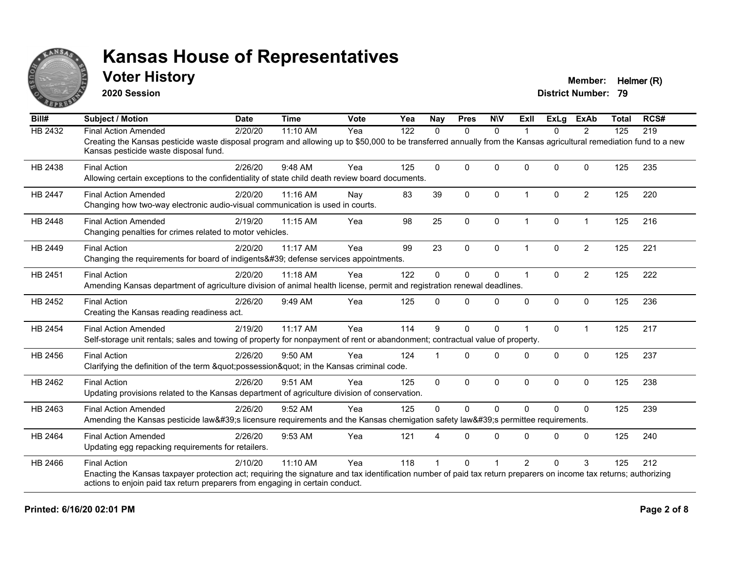

#### **Voter History Member:** Helmer (R)

**2020 Session**

| Bill#          | <b>Subject / Motion</b>                                                                                                                                                                                     | <b>Date</b> | <b>Time</b> | <b>Vote</b> | Yea | <b>Nay</b>   | <b>Pres</b>  | <b>NIV</b>  | ExII                 | <b>ExLg</b> | <b>ExAb</b>    | <b>Total</b> | RCS# |
|----------------|-------------------------------------------------------------------------------------------------------------------------------------------------------------------------------------------------------------|-------------|-------------|-------------|-----|--------------|--------------|-------------|----------------------|-------------|----------------|--------------|------|
| <b>HB 2432</b> | <b>Final Action Amended</b>                                                                                                                                                                                 | 2/20/20     | 11:10 AM    | Yea         | 122 | 0            | $\mathbf{0}$ | $\Omega$    |                      | 0           | 2              | 125          | 219  |
|                | Creating the Kansas pesticide waste disposal program and allowing up to \$50,000 to be transferred annually from the Kansas agricultural remediation fund to a new<br>Kansas pesticide waste disposal fund. |             |             |             |     |              |              |             |                      |             |                |              |      |
| HB 2438        | <b>Final Action</b>                                                                                                                                                                                         | 2/26/20     | 9:48 AM     | Yea         | 125 | $\Omega$     | $\Omega$     | $\Omega$    | $\Omega$             | $\Omega$    | $\mathbf{0}$   | 125          | 235  |
|                | Allowing certain exceptions to the confidentiality of state child death review board documents.                                                                                                             |             |             |             |     |              |              |             |                      |             |                |              |      |
| <b>HB 2447</b> | <b>Final Action Amended</b>                                                                                                                                                                                 | 2/20/20     | 11:16 AM    | Nay         | 83  | 39           | $\mathbf{0}$ | $\Omega$    | $\blacktriangleleft$ | $\Omega$    | $\overline{2}$ | 125          | 220  |
|                | Changing how two-way electronic audio-visual communication is used in courts.                                                                                                                               |             |             |             |     |              |              |             |                      |             |                |              |      |
| <b>HB 2448</b> | <b>Final Action Amended</b>                                                                                                                                                                                 | 2/19/20     | 11:15 AM    | Yea         | 98  | 25           | $\mathbf 0$  | $\mathbf 0$ | $\mathbf 1$          | 0           | $\mathbf{1}$   | 125          | 216  |
|                | Changing penalties for crimes related to motor vehicles.                                                                                                                                                    |             |             |             |     |              |              |             |                      |             |                |              |      |
| HB 2449        | <b>Final Action</b>                                                                                                                                                                                         | 2/20/20     | 11:17 AM    | Yea         | 99  | 23           | $\mathbf{0}$ | $\Omega$    | $\blacktriangleleft$ | $\Omega$    | $\overline{2}$ | 125          | 221  |
|                | Changing the requirements for board of indigents' defense services appointments.                                                                                                                            |             |             |             |     |              |              |             |                      |             |                |              |      |
| HB 2451        | <b>Final Action</b>                                                                                                                                                                                         | 2/20/20     | 11:18 AM    | Yea         | 122 | $\Omega$     | $\mathbf 0$  | $\Omega$    | $\blacktriangleleft$ | $\Omega$    | $\overline{2}$ | 125          | 222  |
|                | Amending Kansas department of agriculture division of animal health license, permit and registration renewal deadlines.                                                                                     |             |             |             |     |              |              |             |                      |             |                |              |      |
| HB 2452        | <b>Final Action</b>                                                                                                                                                                                         | 2/26/20     | 9:49 AM     | Yea         | 125 | $\Omega$     | $\Omega$     | $\Omega$    | $\Omega$             | 0           | $\mathbf 0$    | 125          | 236  |
|                | Creating the Kansas reading readiness act.                                                                                                                                                                  |             |             |             |     |              |              |             |                      |             |                |              |      |
| HB 2454        | <b>Final Action Amended</b>                                                                                                                                                                                 | 2/19/20     | 11:17 AM    | Yea         | 114 | 9            | $\mathbf{0}$ | $\Omega$    |                      | $\Omega$    | $\overline{1}$ | 125          | 217  |
|                | Self-storage unit rentals; sales and towing of property for nonpayment of rent or abandonment; contractual value of property.                                                                               |             |             |             |     |              |              |             |                      |             |                |              |      |
| HB 2456        | <b>Final Action</b>                                                                                                                                                                                         | 2/26/20     | 9:50 AM     | Yea         | 124 |              | $\Omega$     | $\Omega$    | $\Omega$             | $\Omega$    | $\mathbf{0}$   | 125          | 237  |
|                | Clarifying the definition of the term "possession" in the Kansas criminal code.                                                                                                                             |             |             |             |     |              |              |             |                      |             |                |              |      |
| HB 2462        | <b>Final Action</b>                                                                                                                                                                                         | 2/26/20     | 9:51 AM     | Yea         | 125 | $\mathbf{0}$ | $\mathbf{0}$ | $\Omega$    | $\mathbf{0}$         | $\Omega$    | $\mathbf{0}$   | 125          | 238  |
|                | Updating provisions related to the Kansas department of agriculture division of conservation.                                                                                                               |             |             |             |     |              |              |             |                      |             |                |              |      |
| HB 2463        | <b>Final Action Amended</b>                                                                                                                                                                                 | 2/26/20     | 9:52 AM     | Yea         | 125 | $\mathbf 0$  | $\Omega$     | $\mathbf 0$ | $\Omega$             | $\Omega$    | $\mathbf{0}$   | 125          | 239  |
|                | Amending the Kansas pesticide law's licensure requirements and the Kansas chemigation safety law's permittee requirements.                                                                                  |             |             |             |     |              |              |             |                      |             |                |              |      |
| HB 2464        | <b>Final Action Amended</b>                                                                                                                                                                                 | 2/26/20     | 9:53 AM     | Yea         | 121 | 4            | $\Omega$     | $\Omega$    | $\Omega$             | $\Omega$    | $\mathbf{0}$   | 125          | 240  |
|                | Updating egg repacking requirements for retailers.                                                                                                                                                          |             |             |             |     |              |              |             |                      |             |                |              |      |
| HB 2466        | <b>Final Action</b>                                                                                                                                                                                         | 2/10/20     | 11:10 AM    | Yea         | 118 |              | 0            |             | $\overline{2}$       | $\Omega$    | 3              | 125          | 212  |
|                | Enacting the Kansas taxpayer protection act; requiring the signature and tax identification number of paid tax return preparers on income tax returns; authorizing                                          |             |             |             |     |              |              |             |                      |             |                |              |      |
|                | actions to enjoin paid tax return preparers from engaging in certain conduct.                                                                                                                               |             |             |             |     |              |              |             |                      |             |                |              |      |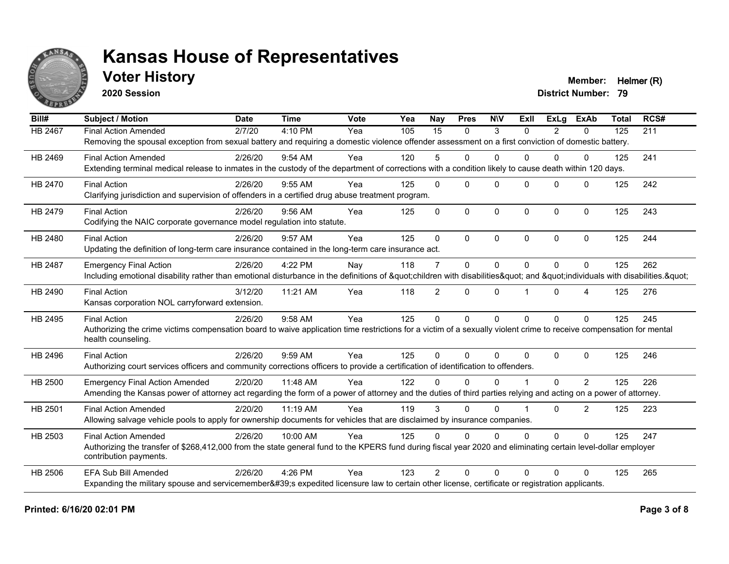

### **Voter History Member: Helmer (R)**

**2020 Session**

| Bill#          | <b>Subject / Motion</b>                                                                                                                                             | <b>Date</b> | <b>Time</b> | Vote | Yea | <b>Nay</b>     | <b>Pres</b>  | <b>NIV</b>   | ExII                 | ExLa           | <b>ExAb</b>    | <b>Total</b> | RCS# |
|----------------|---------------------------------------------------------------------------------------------------------------------------------------------------------------------|-------------|-------------|------|-----|----------------|--------------|--------------|----------------------|----------------|----------------|--------------|------|
| HB 2467        | <b>Final Action Amended</b>                                                                                                                                         | 2/7/20      | 4:10 PM     | Yea  | 105 | 15             | $\mathbf{0}$ | 3            | $\Omega$             | $\overline{2}$ | 0              | 125          | 211  |
|                | Removing the spousal exception from sexual battery and requiring a domestic violence offender assessment on a first conviction of domestic battery.                 |             |             |      |     |                |              |              |                      |                |                |              |      |
| HB 2469        | <b>Final Action Amended</b>                                                                                                                                         | 2/26/20     | 9:54 AM     | Yea  | 120 | 5              | $\Omega$     | $\Omega$     | 0                    | $\Omega$       | $\mathbf{0}$   | 125          | 241  |
|                | Extending terminal medical release to inmates in the custody of the department of corrections with a condition likely to cause death within 120 days.               |             |             |      |     |                |              |              |                      |                |                |              |      |
| HB 2470        | <b>Final Action</b>                                                                                                                                                 | 2/26/20     | $9:55$ AM   | Yea  | 125 | $\Omega$       | $\Omega$     | $\Omega$     | $\Omega$             | $\Omega$       | $\Omega$       | 125          | 242  |
|                | Clarifying jurisdiction and supervision of offenders in a certified drug abuse treatment program.                                                                   |             |             |      |     |                |              |              |                      |                |                |              |      |
| HB 2479        | <b>Final Action</b>                                                                                                                                                 | 2/26/20     | $9:56$ AM   | Yea  | 125 | $\Omega$       | $\mathbf{0}$ | $\mathbf{0}$ | $\Omega$             | $\Omega$       | $\mathbf{0}$   | 125          | 243  |
|                | Codifying the NAIC corporate governance model regulation into statute.                                                                                              |             |             |      |     |                |              |              |                      |                |                |              |      |
| HB 2480        | <b>Final Action</b>                                                                                                                                                 | 2/26/20     | 9:57 AM     | Yea  | 125 | $\Omega$       | $\Omega$     | $\Omega$     | $\Omega$             | $\Omega$       | $\Omega$       | 125          | 244  |
|                | Updating the definition of long-term care insurance contained in the long-term care insurance act.                                                                  |             |             |      |     |                |              |              |                      |                |                |              |      |
| <b>HB 2487</b> | <b>Emergency Final Action</b>                                                                                                                                       | 2/26/20     | 4:22 PM     | Nay  | 118 | $\overline{7}$ | 0            | $\mathbf{0}$ | $\Omega$             | $\Omega$       | $\Omega$       | 125          | 262  |
|                | Including emotional disability rather than emotional disturbance in the definitions of "children with disabilities" and "individuals with disabilities. "           |             |             |      |     |                |              |              |                      |                |                |              |      |
| HB 2490        | <b>Final Action</b>                                                                                                                                                 | 3/12/20     | 11:21 AM    | Yea  | 118 | $\overline{2}$ | $\Omega$     | $\mathbf{0}$ |                      | $\Omega$       | 4              | 125          | 276  |
|                | Kansas corporation NOL carryforward extension.                                                                                                                      |             |             |      |     |                |              |              |                      |                |                |              |      |
| HB 2495        | <b>Final Action</b>                                                                                                                                                 | 2/26/20     | 9:58 AM     | Yea  | 125 | $\Omega$       | $\Omega$     | $\mathbf{0}$ | $\Omega$             | $\Omega$       | $\mathbf{0}$   | 125          | 245  |
|                | Authorizing the crime victims compensation board to waive application time restrictions for a victim of a sexually violent crime to receive compensation for mental |             |             |      |     |                |              |              |                      |                |                |              |      |
|                | health counseling.                                                                                                                                                  |             |             |      |     |                |              |              |                      |                |                |              |      |
| HB 2496        | <b>Final Action</b>                                                                                                                                                 | 2/26/20     | 9:59 AM     | Yea  | 125 | $\Omega$       | $\Omega$     | $\Omega$     | 0                    | $\Omega$       | $\mathbf{0}$   | 125          | 246  |
|                | Authorizing court services officers and community corrections officers to provide a certification of identification to offenders.                                   |             |             |      |     |                |              |              |                      |                |                |              |      |
| HB 2500        | <b>Emergency Final Action Amended</b>                                                                                                                               | 2/20/20     | 11:48 AM    | Yea  | 122 | 0              | $\Omega$     | $\Omega$     |                      | $\Omega$       | $\overline{2}$ | 125          | 226  |
|                | Amending the Kansas power of attorney act regarding the form of a power of attorney and the duties of third parties relying and acting on a power of attorney.      |             |             |      |     |                |              |              |                      |                |                |              |      |
| HB 2501        | <b>Final Action Amended</b>                                                                                                                                         | 2/20/20     | 11:19 AM    | Yea  | 119 | 3              | $\Omega$     | $\Omega$     | $\blacktriangleleft$ | $\Omega$       | $\overline{2}$ | 125          | 223  |
|                | Allowing salvage vehicle pools to apply for ownership documents for vehicles that are disclaimed by insurance companies.                                            |             |             |      |     |                |              |              |                      |                |                |              |      |
| HB 2503        | <b>Final Action Amended</b>                                                                                                                                         | 2/26/20     | 10:00 AM    | Yea  | 125 | $\Omega$       | $\Omega$     | $\Omega$     | $\Omega$             | $\Omega$       | $\Omega$       | 125          | 247  |
|                | Authorizing the transfer of \$268,412,000 from the state general fund to the KPERS fund during fiscal year 2020 and eliminating certain level-dollar employer       |             |             |      |     |                |              |              |                      |                |                |              |      |
|                | contribution payments.                                                                                                                                              |             |             |      |     |                |              |              |                      |                |                |              |      |
| <b>HB 2506</b> | <b>EFA Sub Bill Amended</b>                                                                                                                                         | 2/26/20     | 4:26 PM     | Yea  | 123 | $\mathfrak{p}$ | $\Omega$     | $\Omega$     | 0                    | $\Omega$       | $\Omega$       | 125          | 265  |
|                | Expanding the military spouse and servicemember's expedited licensure law to certain other license, certificate or registration applicants.                         |             |             |      |     |                |              |              |                      |                |                |              |      |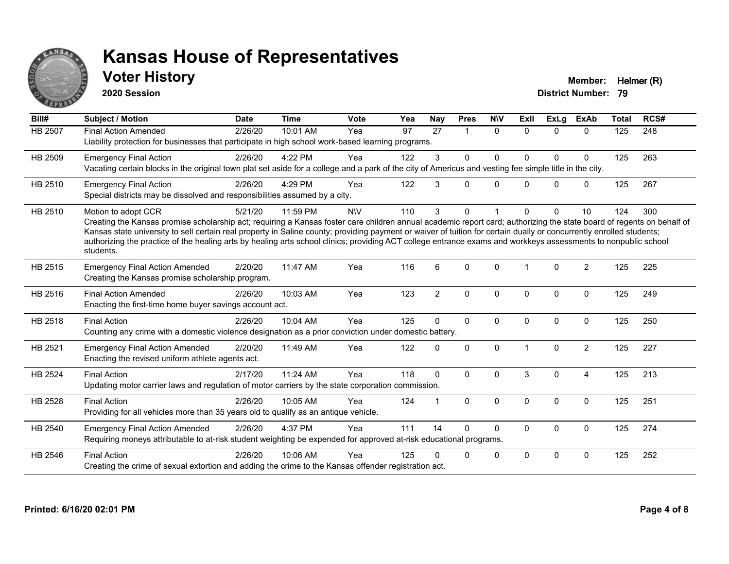

## **Voter History Member: Helmer (R)**

**2020 Session**

| Bill#          | <b>Subject / Motion</b>                                                                                                                                                                                                                                                                                                                                                                                                                                                                                                                             | <b>Date</b> | <b>Time</b> | <b>Vote</b> | Yea | <b>Nay</b>     | <b>Pres</b>  | <b>NIV</b>   | ExII                 | <b>ExLg</b> | <b>ExAb</b>    | <b>Total</b> | RCS# |
|----------------|-----------------------------------------------------------------------------------------------------------------------------------------------------------------------------------------------------------------------------------------------------------------------------------------------------------------------------------------------------------------------------------------------------------------------------------------------------------------------------------------------------------------------------------------------------|-------------|-------------|-------------|-----|----------------|--------------|--------------|----------------------|-------------|----------------|--------------|------|
| <b>HB 2507</b> | <b>Final Action Amended</b><br>Liability protection for businesses that participate in high school work-based learning programs.                                                                                                                                                                                                                                                                                                                                                                                                                    | 2/26/20     | 10:01 AM    | Yea         | 97  | 27             | 1            | $\Omega$     | $\Omega$             | $\Omega$    | $\Omega$       | 125          | 248  |
| HB 2509        | <b>Emergency Final Action</b><br>Vacating certain blocks in the original town plat set aside for a college and a park of the city of Americus and vesting fee simple title in the city.                                                                                                                                                                                                                                                                                                                                                             | 2/26/20     | 4:22 PM     | Yea         | 122 | 3              | $\mathbf{0}$ | $\Omega$     | $\Omega$             | $\Omega$    | $\mathbf 0$    | 125          | 263  |
| HB 2510        | <b>Emergency Final Action</b><br>Special districts may be dissolved and responsibilities assumed by a city.                                                                                                                                                                                                                                                                                                                                                                                                                                         | 2/26/20     | 4:29 PM     | Yea         | 122 | 3              | $\Omega$     | $\Omega$     | 0                    | $\Omega$    | $\mathbf 0$    | 125          | 267  |
| HB 2510        | Motion to adopt CCR<br>Creating the Kansas promise scholarship act; requiring a Kansas foster care children annual academic report card; authorizing the state board of regents on behalf of<br>Kansas state university to sell certain real property in Saline county; providing payment or waiver of tuition for certain dually or concurrently enrolled students;<br>authorizing the practice of the healing arts by healing arts school clinics; providing ACT college entrance exams and workkeys assessments to nonpublic school<br>students. | 5/21/20     | 11:59 PM    | <b>NV</b>   | 110 | 3              | $\Omega$     |              | <sup>0</sup>         | $\Omega$    | 10             | 124          | 300  |
| HB 2515        | <b>Emergency Final Action Amended</b><br>Creating the Kansas promise scholarship program.                                                                                                                                                                                                                                                                                                                                                                                                                                                           | 2/20/20     | 11:47 AM    | Yea         | 116 | 6              | $\Omega$     | $\Omega$     | 1                    | $\Omega$    | $\overline{2}$ | 125          | 225  |
| HB 2516        | <b>Final Action Amended</b><br>Enacting the first-time home buyer savings account act.                                                                                                                                                                                                                                                                                                                                                                                                                                                              | 2/26/20     | 10:03 AM    | Yea         | 123 | $\overline{2}$ | $\mathbf 0$  | $\mathbf 0$  | $\mathbf{0}$         | 0           | $\mathbf 0$    | 125          | 249  |
| HB 2518        | <b>Final Action</b><br>Counting any crime with a domestic violence designation as a prior conviction under domestic battery.                                                                                                                                                                                                                                                                                                                                                                                                                        | 2/26/20     | 10:04 AM    | Yea         | 125 | $\Omega$       | $\mathbf 0$  | $\Omega$     | $\mathbf{0}$         | 0           | $\mathbf 0$    | 125          | 250  |
| HB 2521        | <b>Emergency Final Action Amended</b><br>Enacting the revised uniform athlete agents act.                                                                                                                                                                                                                                                                                                                                                                                                                                                           | 2/20/20     | 11:49 AM    | Yea         | 122 | $\Omega$       | $\mathbf 0$  | $\Omega$     | $\blacktriangleleft$ | $\Omega$    | $\overline{2}$ | 125          | 227  |
| <b>HB 2524</b> | <b>Final Action</b><br>Updating motor carrier laws and regulation of motor carriers by the state corporation commission.                                                                                                                                                                                                                                                                                                                                                                                                                            | 2/17/20     | 11:24 AM    | Yea         | 118 | $\mathbf{0}$   | $\Omega$     | $\Omega$     | 3                    | $\Omega$    | $\overline{4}$ | 125          | 213  |
| HB 2528        | <b>Final Action</b><br>Providing for all vehicles more than 35 years old to qualify as an antique vehicle.                                                                                                                                                                                                                                                                                                                                                                                                                                          | 2/26/20     | 10:05 AM    | Yea         | 124 |                | $\mathbf 0$  | $\mathbf{0}$ | $\Omega$             | $\Omega$    | $\mathbf 0$    | 125          | 251  |
| HB 2540        | <b>Emergency Final Action Amended</b><br>Requiring moneys attributable to at-risk student weighting be expended for approved at-risk educational programs.                                                                                                                                                                                                                                                                                                                                                                                          | 2/26/20     | 4:37 PM     | Yea         | 111 | 14             | $\Omega$     | $\Omega$     | 0                    | $\Omega$    | $\mathbf 0$    | 125          | 274  |
| HB 2546        | <b>Final Action</b><br>Creating the crime of sexual extortion and adding the crime to the Kansas offender registration act.                                                                                                                                                                                                                                                                                                                                                                                                                         | 2/26/20     | 10:06 AM    | Yea         | 125 |                | 0            | $\mathbf 0$  | $\Omega$             | $\Omega$    | $\mathbf 0$    | 125          | 252  |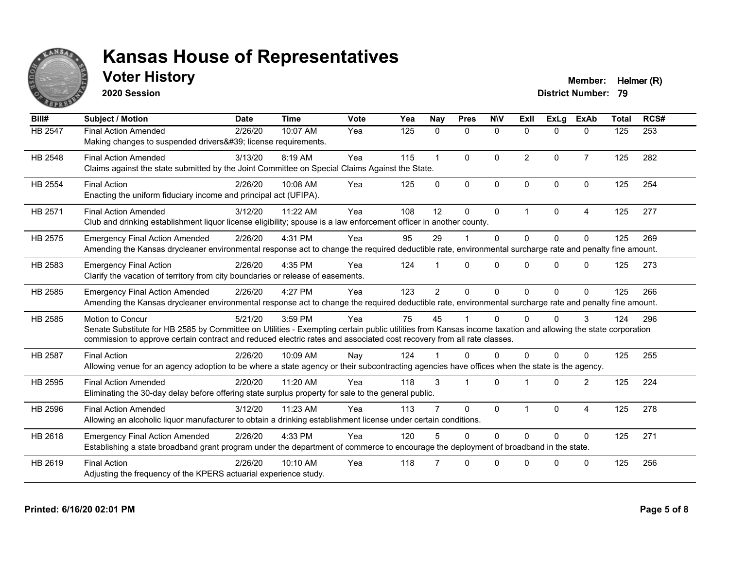

## **Voter History Member: Helmer (R)**

**2020 Session**

| Bill#          | <b>Subject / Motion</b>                                                                                                                                                                                                                                                                                         | <b>Date</b> | <b>Time</b> | Vote | Yea | <b>Nay</b>     | <b>Pres</b>  | <b>NIV</b>   | ExII           | <b>ExLg</b> | <b>ExAb</b>    | <b>Total</b> | RCS# |
|----------------|-----------------------------------------------------------------------------------------------------------------------------------------------------------------------------------------------------------------------------------------------------------------------------------------------------------------|-------------|-------------|------|-----|----------------|--------------|--------------|----------------|-------------|----------------|--------------|------|
| HB 2547        | <b>Final Action Amended</b><br>Making changes to suspended drivers' license requirements.                                                                                                                                                                                                                       | 2/26/20     | 10:07 AM    | Yea  | 125 | 0              | 0            | $\mathbf 0$  | $\Omega$       | $\Omega$    | 0              | 125          | 253  |
| HB 2548        | <b>Final Action Amended</b><br>Claims against the state submitted by the Joint Committee on Special Claims Against the State.                                                                                                                                                                                   | 3/13/20     | 8:19 AM     | Yea  | 115 | $\mathbf 1$    | $\mathbf{0}$ | $\mathbf{0}$ | $\overline{2}$ | $\Omega$    | $\overline{7}$ | 125          | 282  |
| HB 2554        | <b>Final Action</b><br>Enacting the uniform fiduciary income and principal act (UFIPA).                                                                                                                                                                                                                         | 2/26/20     | 10:08 AM    | Yea  | 125 | $\Omega$       | $\mathbf{0}$ | $\mathbf{0}$ | $\Omega$       | $\Omega$    | $\Omega$       | 125          | 254  |
| HB 2571        | <b>Final Action Amended</b><br>Club and drinking establishment liquor license eligibility; spouse is a law enforcement officer in another county.                                                                                                                                                               | 3/12/20     | 11:22 AM    | Yea  | 108 | 12             | $\Omega$     | $\mathbf 0$  | 1              | $\Omega$    | 4              | 125          | 277  |
| HB 2575        | <b>Emergency Final Action Amended</b><br>Amending the Kansas drycleaner environmental response act to change the required deductible rate, environmental surcharge rate and penalty fine amount.                                                                                                                | 2/26/20     | 4:31 PM     | Yea  | 95  | 29             |              | $\Omega$     | $\Omega$       | $\Omega$    | $\Omega$       | 125          | 269  |
| HB 2583        | <b>Emergency Final Action</b><br>Clarify the vacation of territory from city boundaries or release of easements.                                                                                                                                                                                                | 2/26/20     | 4:35 PM     | Yea  | 124 |                | $\Omega$     | $\Omega$     | $\Omega$       | 0           | $\Omega$       | 125          | 273  |
| HB 2585        | <b>Emergency Final Action Amended</b><br>Amending the Kansas drycleaner environmental response act to change the required deductible rate, environmental surcharge rate and penalty fine amount.                                                                                                                | 2/26/20     | 4:27 PM     | Yea  | 123 | $\overline{2}$ | $\Omega$     | $\Omega$     | $\Omega$       | $\Omega$    | $\Omega$       | 125          | 266  |
| HB 2585        | <b>Motion to Concur</b><br>Senate Substitute for HB 2585 by Committee on Utilities - Exempting certain public utilities from Kansas income taxation and allowing the state corporation<br>commission to approve certain contract and reduced electric rates and associated cost recovery from all rate classes. | 5/21/20     | 3:59 PM     | Yea  | 75  | 45             |              | $\Omega$     | $\Omega$       | 0           | 3              | 124          | 296  |
| <b>HB 2587</b> | <b>Final Action</b><br>Allowing venue for an agency adoption to be where a state agency or their subcontracting agencies have offices when the state is the agency.                                                                                                                                             | 2/26/20     | 10:09 AM    | Nav  | 124 |                | $\Omega$     | $\Omega$     | $\Omega$       | 0           | $\Omega$       | 125          | 255  |
| HB 2595        | <b>Final Action Amended</b><br>Eliminating the 30-day delay before offering state surplus property for sale to the general public.                                                                                                                                                                              | 2/20/20     | 11:20 AM    | Yea  | 118 | 3              | -1           | $\Omega$     |                | $\Omega$    | $\overline{2}$ | 125          | 224  |
| HB 2596        | <b>Final Action Amended</b><br>Allowing an alcoholic liquor manufacturer to obtain a drinking establishment license under certain conditions.                                                                                                                                                                   | 3/12/20     | 11:23 AM    | Yea  | 113 |                | $\Omega$     | $\mathbf{0}$ | $\overline{1}$ | $\Omega$    | 4              | 125          | 278  |
| HB 2618        | <b>Emergency Final Action Amended</b><br>Establishing a state broadband grant program under the department of commerce to encourage the deployment of broadband in the state.                                                                                                                                   | 2/26/20     | 4:33 PM     | Yea  | 120 |                | $\Omega$     | $\Omega$     | $\Omega$       | $\Omega$    | $\Omega$       | 125          | 271  |
| HB 2619        | <b>Final Action</b><br>Adjusting the frequency of the KPERS actuarial experience study.                                                                                                                                                                                                                         | 2/26/20     | 10:10 AM    | Yea  | 118 |                | 0            | $\Omega$     | <sup>n</sup>   | ŋ           | $\Omega$       | 125          | 256  |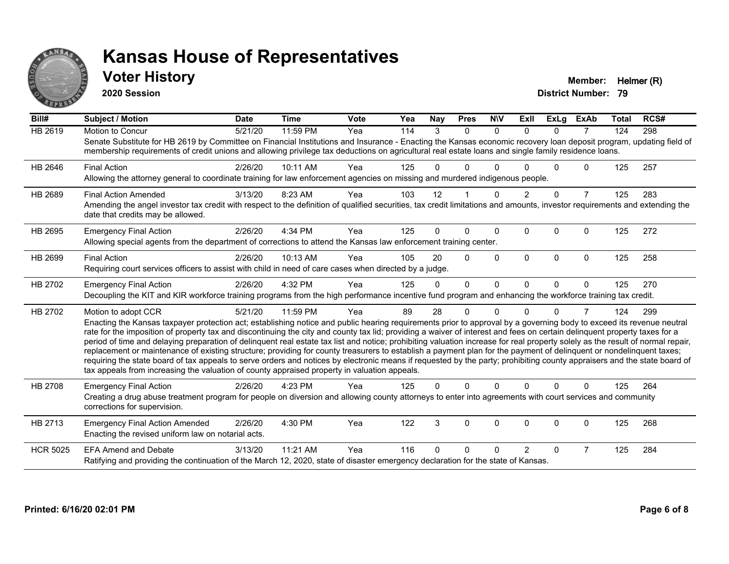

#### **Voter History Member: Helmer (R)**

**2020 Session**

| Bill#           | Subject / Motion                                                                                                                                                                                                                                                                                                                                                                                                                                                                                                                                                                                                                                                                                                                                                                                                                                                                                                                                                                                              | <b>Date</b> | <b>Time</b> | Vote | Yea | Nay      | <b>Pres</b> | <b>NIV</b>   | ExII           | <b>ExLg</b>  | <b>ExAb</b>    | <b>Total</b> | RCS# |
|-----------------|---------------------------------------------------------------------------------------------------------------------------------------------------------------------------------------------------------------------------------------------------------------------------------------------------------------------------------------------------------------------------------------------------------------------------------------------------------------------------------------------------------------------------------------------------------------------------------------------------------------------------------------------------------------------------------------------------------------------------------------------------------------------------------------------------------------------------------------------------------------------------------------------------------------------------------------------------------------------------------------------------------------|-------------|-------------|------|-----|----------|-------------|--------------|----------------|--------------|----------------|--------------|------|
| <b>HB 2619</b>  | <b>Motion to Concur</b><br>Senate Substitute for HB 2619 by Committee on Financial Institutions and Insurance - Enacting the Kansas economic recovery loan deposit program, updating field of<br>membership requirements of credit unions and allowing privilege tax deductions on agricultural real estate loans and single family residence loans.                                                                                                                                                                                                                                                                                                                                                                                                                                                                                                                                                                                                                                                          | 5/21/20     | 11:59 PM    | Yea  | 114 | 3        | $\Omega$    | $\Omega$     | $\Omega$       | $\Omega$     | $\overline{7}$ | 124          | 298  |
| HB 2646         | <b>Final Action</b><br>Allowing the attorney general to coordinate training for law enforcement agencies on missing and murdered indigenous people.                                                                                                                                                                                                                                                                                                                                                                                                                                                                                                                                                                                                                                                                                                                                                                                                                                                           | 2/26/20     | 10:11 AM    | Yea  | 125 | U        | 0           |              |                | 0            | $\Omega$       | 125          | 257  |
| HB 2689         | <b>Final Action Amended</b><br>Amending the angel investor tax credit with respect to the definition of qualified securities, tax credit limitations and amounts, investor requirements and extending the<br>date that credits may be allowed.                                                                                                                                                                                                                                                                                                                                                                                                                                                                                                                                                                                                                                                                                                                                                                | 3/13/20     | 8:23 AM     | Yea  | 103 | 12       |             | 0            | $\overline{2}$ | $\Omega$     | $\overline{7}$ | 125          | 283  |
| HB 2695         | <b>Emergency Final Action</b><br>Allowing special agents from the department of corrections to attend the Kansas law enforcement training center.                                                                                                                                                                                                                                                                                                                                                                                                                                                                                                                                                                                                                                                                                                                                                                                                                                                             | 2/26/20     | 4:34 PM     | Yea  | 125 | 0        | 0           | $\mathbf{0}$ | 0              | $\Omega$     | $\Omega$       | 125          | 272  |
| HB 2699         | <b>Final Action</b><br>Requiring court services officers to assist with child in need of care cases when directed by a judge.                                                                                                                                                                                                                                                                                                                                                                                                                                                                                                                                                                                                                                                                                                                                                                                                                                                                                 | 2/26/20     | 10:13 AM    | Yea  | 105 | 20       | 0           | $\Omega$     | $\mathbf{0}$   | $\mathbf{0}$ | 0              | 125          | 258  |
| HB 2702         | <b>Emergency Final Action</b><br>Decoupling the KIT and KIR workforce training programs from the high performance incentive fund program and enhancing the workforce training tax credit.                                                                                                                                                                                                                                                                                                                                                                                                                                                                                                                                                                                                                                                                                                                                                                                                                     | 2/26/20     | 4:32 PM     | Yea  | 125 | $\Omega$ | $\Omega$    | $\Omega$     | $\Omega$       | $\Omega$     | $\Omega$       | 125          | 270  |
| HB 2702         | Motion to adopt CCR<br>Enacting the Kansas taxpayer protection act; establishing notice and public hearing requirements prior to approval by a governing body to exceed its revenue neutral<br>rate for the imposition of property tax and discontinuing the city and county tax lid; providing a waiver of interest and fees on certain delinquent property taxes for a<br>period of time and delaying preparation of delinquent real estate tax list and notice; prohibiting valuation increase for real property solely as the result of normal repair,<br>replacement or maintenance of existing structure; providing for county treasurers to establish a payment plan for the payment of delinquent or nondelinquent taxes;<br>requiring the state board of tax appeals to serve orders and notices by electronic means if requested by the party; prohibiting county appraisers and the state board of<br>tax appeals from increasing the valuation of county appraised property in valuation appeals. | 5/21/20     | 11:59 PM    | Yea  | 89  | 28       | 0           | $\Omega$     | n              | 0            | 7              | 124          | 299  |
| <b>HB 2708</b>  | <b>Emergency Final Action</b><br>Creating a drug abuse treatment program for people on diversion and allowing county attorneys to enter into agreements with court services and community<br>corrections for supervision.                                                                                                                                                                                                                                                                                                                                                                                                                                                                                                                                                                                                                                                                                                                                                                                     | 2/26/20     | 4:23 PM     | Yea  | 125 | 0        | 0           | $\Omega$     | $\Omega$       | $\Omega$     | $\Omega$       | 125          | 264  |
| HB 2713         | <b>Emergency Final Action Amended</b><br>Enacting the revised uniform law on notarial acts.                                                                                                                                                                                                                                                                                                                                                                                                                                                                                                                                                                                                                                                                                                                                                                                                                                                                                                                   | 2/26/20     | 4:30 PM     | Yea  | 122 | 3        | 0           | $\mathbf 0$  | $\Omega$       | $\Omega$     | 0              | 125          | 268  |
| <b>HCR 5025</b> | <b>EFA Amend and Debate</b><br>Ratifying and providing the continuation of the March 12, 2020, state of disaster emergency declaration for the state of Kansas.                                                                                                                                                                                                                                                                                                                                                                                                                                                                                                                                                                                                                                                                                                                                                                                                                                               | 3/13/20     | 11:21 AM    | Yea  | 116 | 0        | 0           | ∩            | $\mathfrak{p}$ | 0            | $\overline{7}$ | 125          | 284  |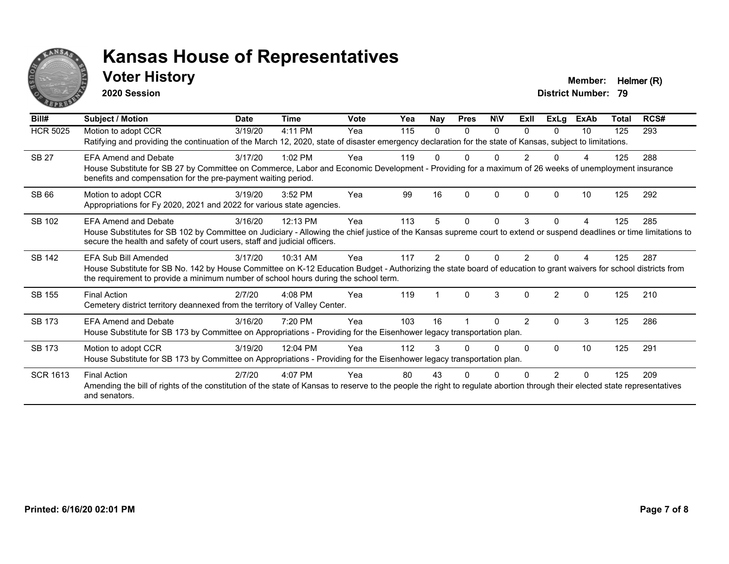

#### **Voter History Member: Helmer (R)**

**2020 Session**

| Bill#           | Subject / Motion                                                                                                                                                                                                                                                                  | <b>Date</b> | Time      | <b>Vote</b> | Yea | <b>Nay</b> | <b>Pres</b> | <b>NIV</b> | ExII          | <b>ExLg</b>   | <b>ExAb</b> | Total | RCS# |
|-----------------|-----------------------------------------------------------------------------------------------------------------------------------------------------------------------------------------------------------------------------------------------------------------------------------|-------------|-----------|-------------|-----|------------|-------------|------------|---------------|---------------|-------------|-------|------|
| <b>HCR 5025</b> | Motion to adopt CCR<br>Ratifying and providing the continuation of the March 12, 2020, state of disaster emergency declaration for the state of Kansas, subject to limitations.                                                                                                   | 3/19/20     | 4:11 PM   | Yea         | 115 | 0          | $\Omega$    | $\Omega$   | $\Omega$      | $\Omega$      | 10          | 125   | 293  |
| <b>SB 27</b>    | FFA Amend and Debate<br>House Substitute for SB 27 by Committee on Commerce, Labor and Economic Development - Providing for a maximum of 26 weeks of unemployment insurance<br>benefits and compensation for the pre-payment waiting period.                                      | 3/17/20     | $1:02$ PM | Yea         | 119 |            |             |            |               |               |             | 125   | 288  |
| <b>SB 66</b>    | Motion to adopt CCR<br>Appropriations for Fy 2020, 2021 and 2022 for various state agencies.                                                                                                                                                                                      | 3/19/20     | 3:52 PM   | Yea         | 99  | 16         | ∩           | $\Omega$   | <sup>0</sup>  | ŋ             | 10          | 125   | 292  |
| SB 102          | <b>EFA Amend and Debate</b><br>House Substitutes for SB 102 by Committee on Judiciary - Allowing the chief justice of the Kansas supreme court to extend or suspend deadlines or time limitations to<br>secure the health and safety of court users, staff and judicial officers. | 3/16/20     | 12:13 PM  | Yea         | 113 |            | 0           | $\Omega$   | 3             | 0             |             | 125   | 285  |
| <b>SB 142</b>   | EFA Sub Bill Amended<br>House Substitute for SB No. 142 by House Committee on K-12 Education Budget - Authorizing the state board of education to grant waivers for school districts from<br>the requirement to provide a minimum number of school hours during the school term.  | 3/17/20     | 10:31 AM  | Yea         | 117 | 2          |             |            |               |               |             | 125   | 287  |
| SB 155          | <b>Final Action</b><br>Cemetery district territory deannexed from the territory of Valley Center.                                                                                                                                                                                 | 2/7/20      | $4:08$ PM | Yea         | 119 |            | $\Omega$    | 3          | $\Omega$      | $\mathcal{P}$ | $\Omega$    | 125   | 210  |
| SB 173          | <b>EFA Amend and Debate</b><br>House Substitute for SB 173 by Committee on Appropriations - Providing for the Eisenhower legacy transportation plan.                                                                                                                              | 3/16/20     | 7:20 PM   | Yea         | 103 | 16         |             | U          | $\mathcal{P}$ | 0             | 3           | 125   | 286  |
| SB 173          | Motion to adopt CCR<br>House Substitute for SB 173 by Committee on Appropriations - Providing for the Eisenhower legacy transportation plan.                                                                                                                                      | 3/19/20     | 12:04 PM  | Yea         | 112 |            |             | U          | $\Omega$      | $\Omega$      | 10          | 125   | 291  |
| <b>SCR 1613</b> | <b>Final Action</b><br>Amending the bill of rights of the constitution of the state of Kansas to reserve to the people the right to regulate abortion through their elected state representatives<br>and senators.                                                                | 2/7/20      | $4:07$ PM | Yea         | 80  | 43         |             |            |               | 2             | $\Omega$    | 125   | 209  |